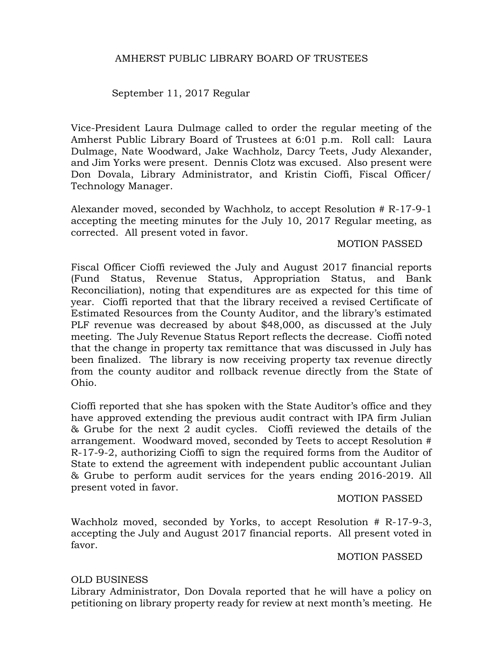## September 11, 2017 Regular

Vice-President Laura Dulmage called to order the regular meeting of the Amherst Public Library Board of Trustees at 6:01 p.m. Roll call: Laura Dulmage, Nate Woodward, Jake Wachholz, Darcy Teets, Judy Alexander, and Jim Yorks were present. Dennis Clotz was excused. Also present were Don Dovala, Library Administrator, and Kristin Cioffi, Fiscal Officer/ Technology Manager.

Alexander moved, seconded by Wachholz, to accept Resolution # R-17-9-1 accepting the meeting minutes for the July 10, 2017 Regular meeting, as corrected. All present voted in favor.

#### MOTION PASSED

Fiscal Officer Cioffi reviewed the July and August 2017 financial reports (Fund Status, Revenue Status, Appropriation Status, and Bank Reconciliation), noting that expenditures are as expected for this time of year. Cioffi reported that that the library received a revised Certificate of Estimated Resources from the County Auditor, and the library's estimated PLF revenue was decreased by about \$48,000, as discussed at the July meeting. The July Revenue Status Report reflects the decrease. Cioffi noted that the change in property tax remittance that was discussed in July has been finalized. The library is now receiving property tax revenue directly from the county auditor and rollback revenue directly from the State of Ohio.

Cioffi reported that she has spoken with the State Auditor's office and they have approved extending the previous audit contract with IPA firm Julian & Grube for the next 2 audit cycles. Cioffi reviewed the details of the arrangement. Woodward moved, seconded by Teets to accept Resolution # R-17-9-2, authorizing Cioffi to sign the required forms from the Auditor of State to extend the agreement with independent public accountant Julian & Grube to perform audit services for the years ending 2016-2019. All present voted in favor.

#### MOTION PASSED

Wachholz moved, seconded by Yorks, to accept Resolution # R-17-9-3, accepting the July and August 2017 financial reports. All present voted in favor.

#### MOTION PASSED

#### OLD BUSINESS

Library Administrator, Don Dovala reported that he will have a policy on petitioning on library property ready for review at next month's meeting. He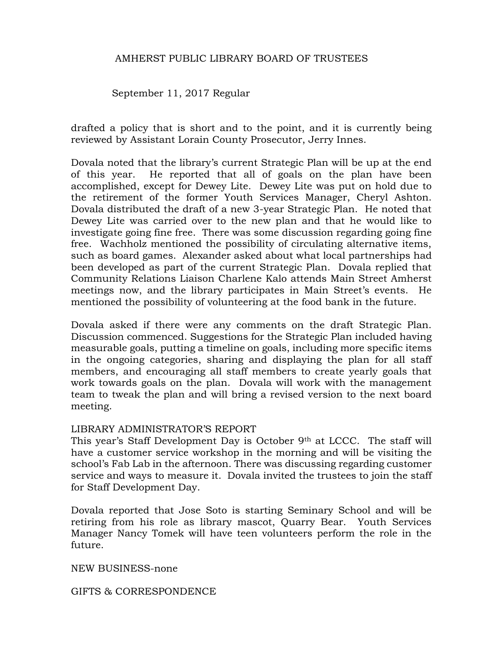## September 11, 2017 Regular

drafted a policy that is short and to the point, and it is currently being reviewed by Assistant Lorain County Prosecutor, Jerry Innes.

Dovala noted that the library's current Strategic Plan will be up at the end of this year. He reported that all of goals on the plan have been accomplished, except for Dewey Lite. Dewey Lite was put on hold due to the retirement of the former Youth Services Manager, Cheryl Ashton. Dovala distributed the draft of a new 3-year Strategic Plan. He noted that Dewey Lite was carried over to the new plan and that he would like to investigate going fine free. There was some discussion regarding going fine free. Wachholz mentioned the possibility of circulating alternative items, such as board games. Alexander asked about what local partnerships had been developed as part of the current Strategic Plan. Dovala replied that Community Relations Liaison Charlene Kalo attends Main Street Amherst meetings now, and the library participates in Main Street's events. He mentioned the possibility of volunteering at the food bank in the future.

Dovala asked if there were any comments on the draft Strategic Plan. Discussion commenced. Suggestions for the Strategic Plan included having measurable goals, putting a timeline on goals, including more specific items in the ongoing categories, sharing and displaying the plan for all staff members, and encouraging all staff members to create yearly goals that work towards goals on the plan. Dovala will work with the management team to tweak the plan and will bring a revised version to the next board meeting.

#### LIBRARY ADMINISTRATOR'S REPORT

This year's Staff Development Day is October 9<sup>th</sup> at LCCC. The staff will have a customer service workshop in the morning and will be visiting the school's Fab Lab in the afternoon. There was discussing regarding customer service and ways to measure it. Dovala invited the trustees to join the staff for Staff Development Day.

Dovala reported that Jose Soto is starting Seminary School and will be retiring from his role as library mascot, Quarry Bear. Youth Services Manager Nancy Tomek will have teen volunteers perform the role in the future.

NEW BUSINESS-none

GIFTS & CORRESPONDENCE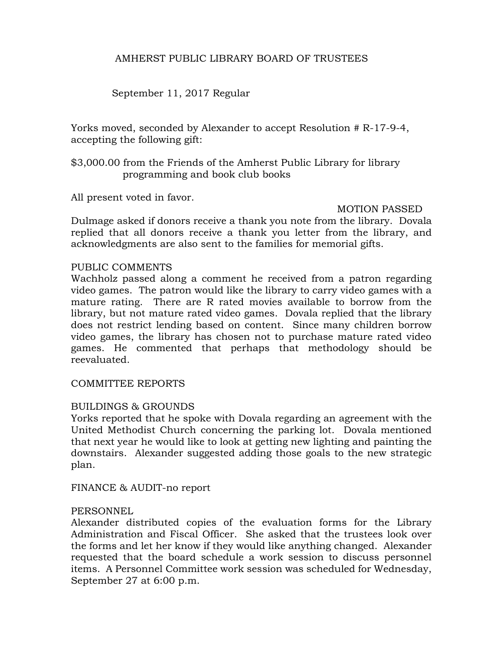# September 11, 2017 Regular

Yorks moved, seconded by Alexander to accept Resolution # R-17-9-4, accepting the following gift:

\$3,000.00 from the Friends of the Amherst Public Library for library programming and book club books

All present voted in favor.

#### MOTION PASSED

Dulmage asked if donors receive a thank you note from the library. Dovala replied that all donors receive a thank you letter from the library, and acknowledgments are also sent to the families for memorial gifts.

#### PUBLIC COMMENTS

Wachholz passed along a comment he received from a patron regarding video games. The patron would like the library to carry video games with a mature rating. There are R rated movies available to borrow from the library, but not mature rated video games. Dovala replied that the library does not restrict lending based on content. Since many children borrow video games, the library has chosen not to purchase mature rated video games. He commented that perhaps that methodology should be reevaluated.

COMMITTEE REPORTS

#### BUILDINGS & GROUNDS

Yorks reported that he spoke with Dovala regarding an agreement with the United Methodist Church concerning the parking lot. Dovala mentioned that next year he would like to look at getting new lighting and painting the downstairs. Alexander suggested adding those goals to the new strategic plan.

FINANCE & AUDIT-no report

#### **PERSONNEL**

Alexander distributed copies of the evaluation forms for the Library Administration and Fiscal Officer. She asked that the trustees look over the forms and let her know if they would like anything changed. Alexander requested that the board schedule a work session to discuss personnel items. A Personnel Committee work session was scheduled for Wednesday, September 27 at 6:00 p.m.